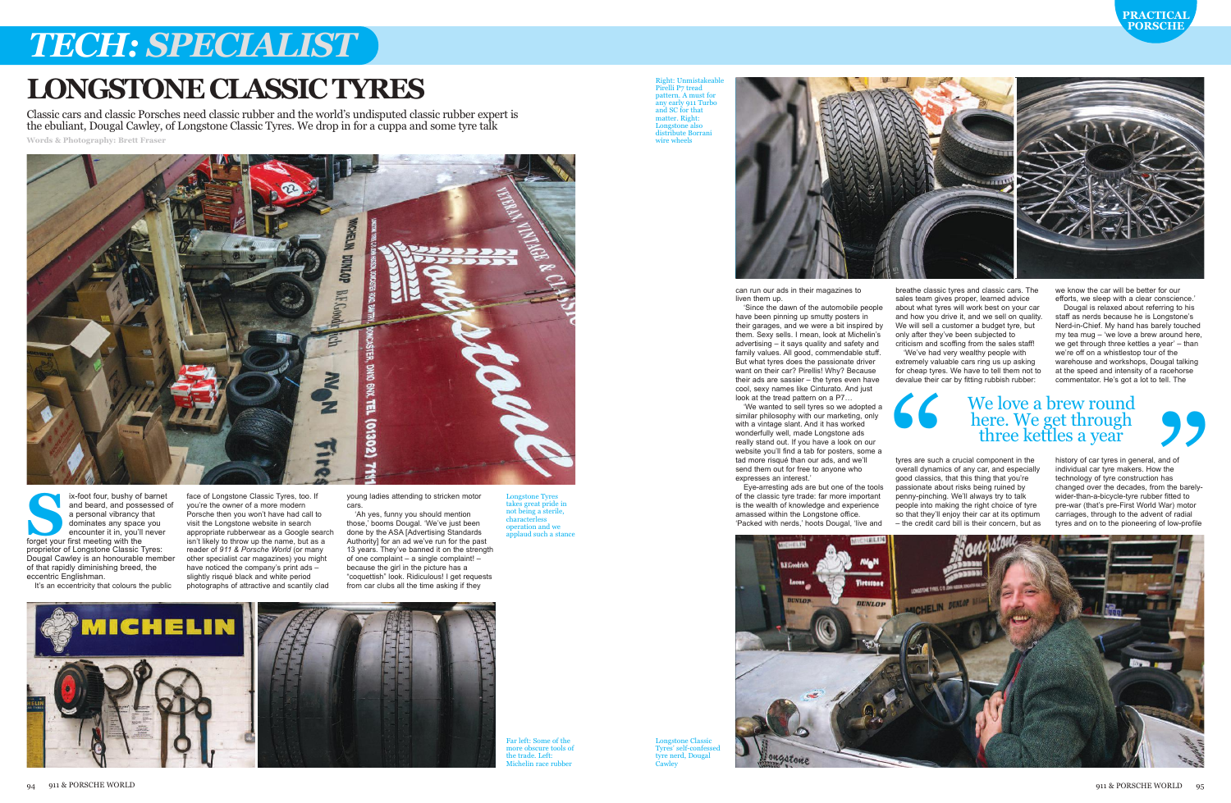can run our ads in their magazines to liven them up.

'We wanted to sell tyres so we adopted a similar philosophy with our marketing, only with a vintage slant. And it has worked wonderfully well, made Longstone ads really stand out. If you have a look on our website you'll find a tab for posters, some a tad more risqué than our ads, and we'll send them out for free to anyone who expresses an interest.

'Since the dawn of the automobile people have been pinning up smutty posters in their garages, and we were a bit inspired by them. Sexy sells. I mean, look at Michelin's advertising – it says quality and safety and family values. All good, commendable stuff. But what tyres does the passionate driver want on their car? Pirellis! Why? Because their ads are sassier – the tyres even have cool, sexy names like Cinturato. And just look at the tread pattern on a P7…

we know the car will be better for our efforts, we sleep with a clear conscience.

Eye-arresting ads are but one of the tools of the classic tyre trade: far more important is the wealth of knowledge and experience amassed within the Longstone office. 'Packed with nerds,' hoots Dougal, 'live and



breathe classic tyres and classic cars. The sales team gives proper, learned advice about what tyres will work best on your car and how you drive it, and we sell on quality. We will sell a customer a budget tyre, but only after they've been subjected to criticism and scoffing from the sales staff! 'We've had very wealthy people with extremely valuable cars ring us up asking for cheap tyres. We have to tell them not to devalue their car by fitting rubbish rubber:

Longstone Tyres takes great pride in not being a sterile, characterless operation and we applaud such a sta

the trade. Left: Michelin race rubber

Right: Unmistakeabl Pirelli P7 tread attern. A must for any early 911 Turbo and SC for that matter. Right: Longstone also distribute Borrani wire wheels



External vibrancy for barnet and beard, and possessed<br>
a personal vibrancy that<br>
dominates any space you<br>
encounter it in, you'll never<br>
forget your first meeting with the and beard, and possessed of a personal vibrancy that dominates any space you encounter it in, you'll never proprietor of Longstone Classic Tyres: Dougal Cawley is an honourable member of that rapidly diminishing breed, the eccentric Englishman.

It's an eccentricity that colours the public

tyres are such a crucial component in the overall dynamics of any car, and especially good classics, that this thing that you're passionate about risks being ruined by penny-pinching. We'll always try to talk people into making the right choice of tyre so that they'll enjoy their car at its optimum – the credit card bill is their concern, but as

Dougal is relaxed about referring to his staff as nerds because he is Longstone's Nerd-in-Chief. My hand has barely touched my tea mug – 'we love a brew around here, we get through three kettles a year' – than we're off on a whistlestop tour of the warehouse and workshops, Dougal talking at the speed and intensity of a racehorse commentator. He's got a lot to tell. The

history of car tyres in general, and of individual car tyre makers. How the technology of tyre construction has changed over the decades, from the barelywider-than-a-bicycle-tyre rubber fitted to pre-war (that's pre-First World War) motor carriages, through to the advent of radial tyres and on to the pioneering of low-profile

## *TECH: SPECIALIST*









Far left: Some of the

face of Longstone Classic Tyres, too. If you're the owner of a more modern Porsche then you won't have had call to visit the Longstone website in search appropriate rubberwear as a Google search isn't likely to throw up the name, but as a reader of *911 & Porsche World* (or many other specialist car magazines) you might have noticed the company's print ads – slightly risqué black and white period photographs of attractive and scantily clad

young ladies attending to stricken motor cars.

'Ah yes, funny you should mention those,' booms Dougal. 'We've just been done by the ASA [Advertising Standards Authority] for an ad we've run for the past 13 years. They've banned it on the strength of one complaint – a single complaint! – because the girl in the picture has a "coquettish" look. Ridiculous! I get requests from car clubs all the time asking if they

Classic cars and classic Porsches need classic rubber and the world's undisputed classic rubber expert is the ebuliant, Dougal Cawley, of Longstone Classic Tyres. We drop in for a cuppa and some tyre talk **Words & Photography: Brett Fraser**



### **LONGSTONECLASSICTYRES**